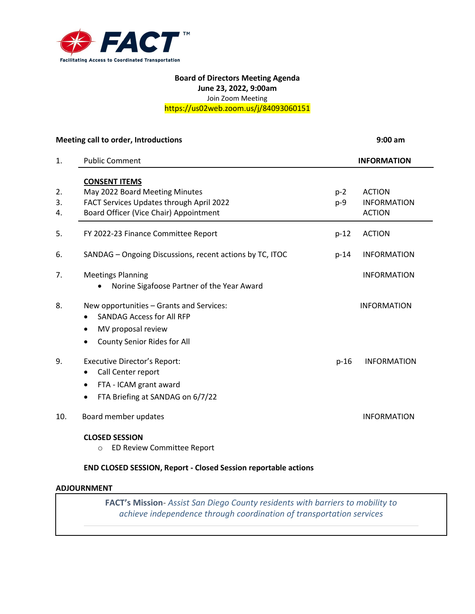

#### **Board of Directors Meeting Agenda June 23, 2022, 9:00am** Join Zoom Meeting https://us02web.zoom.us/j/84093060151

**Meeting call to order, Introductions 9:00 am**

| 1.  | <b>Public Comment</b>                                          | <b>INFORMATION</b> |                    |  |
|-----|----------------------------------------------------------------|--------------------|--------------------|--|
|     | <b>CONSENT ITEMS</b>                                           |                    |                    |  |
| 2.  | May 2022 Board Meeting Minutes                                 | $p-2$              | <b>ACTION</b>      |  |
| 3.  | FACT Services Updates through April 2022                       | $p-9$              | <b>INFORMATION</b> |  |
| 4.  | Board Officer (Vice Chair) Appointment                         |                    | <b>ACTION</b>      |  |
| 5.  | FY 2022-23 Finance Committee Report                            | $p-12$             | <b>ACTION</b>      |  |
| 6.  | SANDAG - Ongoing Discussions, recent actions by TC, ITOC       | $p-14$             | <b>INFORMATION</b> |  |
| 7.  | <b>Meetings Planning</b>                                       |                    | <b>INFORMATION</b> |  |
|     | Norine Sigafoose Partner of the Year Award                     |                    |                    |  |
| 8.  | New opportunities - Grants and Services:                       |                    | <b>INFORMATION</b> |  |
|     | <b>SANDAG Access for All RFP</b>                               |                    |                    |  |
|     | MV proposal review<br>٠                                        |                    |                    |  |
|     | County Senior Rides for All<br>$\bullet$                       |                    |                    |  |
| 9.  | <b>Executive Director's Report:</b>                            | $p-16$             | <b>INFORMATION</b> |  |
|     | Call Center report<br>٠                                        |                    |                    |  |
|     | FTA - ICAM grant award<br>٠                                    |                    |                    |  |
|     | FTA Briefing at SANDAG on 6/7/22<br>٠                          |                    |                    |  |
| 10. | Board member updates                                           |                    | <b>INFORMATION</b> |  |
|     | <b>CLOSED SESSION</b>                                          |                    |                    |  |
|     | ED Review Committee Report<br>$\circ$                          |                    |                    |  |
|     | END CLOSED SESSION, Report - Closed Session reportable actions |                    |                    |  |

#### **ADJOURNMENT**

**FACT's Mission**- *Assist San Diego County residents with barriers to mobility to achieve independence through coordination of transportation services*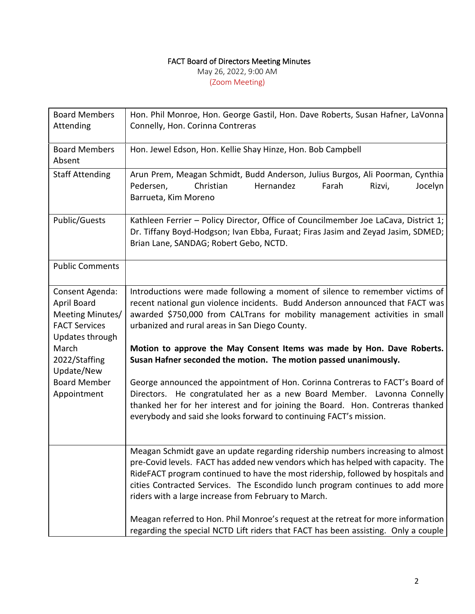# FACT Board of Directors Meeting Minutes

May 26, 2022, 9:00 AM

(Zoom Meeting)

| <b>Board Members</b>                                                                          | Hon. Phil Monroe, Hon. George Gastil, Hon. Dave Roberts, Susan Hafner, LaVonna                                                                                                                                                                                                                                                                                                                  |  |  |  |  |  |
|-----------------------------------------------------------------------------------------------|-------------------------------------------------------------------------------------------------------------------------------------------------------------------------------------------------------------------------------------------------------------------------------------------------------------------------------------------------------------------------------------------------|--|--|--|--|--|
| Attending                                                                                     | Connelly, Hon. Corinna Contreras                                                                                                                                                                                                                                                                                                                                                                |  |  |  |  |  |
| <b>Board Members</b><br>Absent                                                                | Hon. Jewel Edson, Hon. Kellie Shay Hinze, Hon. Bob Campbell                                                                                                                                                                                                                                                                                                                                     |  |  |  |  |  |
| <b>Staff Attending</b>                                                                        | Arun Prem, Meagan Schmidt, Budd Anderson, Julius Burgos, Ali Poorman, Cynthia<br>Pedersen,<br>Christian<br>Hernandez<br>Farah<br>Rizvi,<br>Jocelyn<br>Barrueta, Kim Moreno                                                                                                                                                                                                                      |  |  |  |  |  |
| Public/Guests                                                                                 | Kathleen Ferrier - Policy Director, Office of Councilmember Joe LaCava, District 1;<br>Dr. Tiffany Boyd-Hodgson; Ivan Ebba, Furaat; Firas Jasim and Zeyad Jasim, SDMED;<br>Brian Lane, SANDAG; Robert Gebo, NCTD.                                                                                                                                                                               |  |  |  |  |  |
| <b>Public Comments</b>                                                                        |                                                                                                                                                                                                                                                                                                                                                                                                 |  |  |  |  |  |
| Consent Agenda:<br>April Board<br>Meeting Minutes/<br><b>FACT Services</b><br>Updates through | Introductions were made following a moment of silence to remember victims of<br>recent national gun violence incidents. Budd Anderson announced that FACT was<br>awarded \$750,000 from CALTrans for mobility management activities in small<br>urbanized and rural areas in San Diego County.                                                                                                  |  |  |  |  |  |
| March<br>2022/Staffing<br>Update/New                                                          | Motion to approve the May Consent Items was made by Hon. Dave Roberts.<br>Susan Hafner seconded the motion. The motion passed unanimously.                                                                                                                                                                                                                                                      |  |  |  |  |  |
| <b>Board Member</b><br>Appointment                                                            | George announced the appointment of Hon. Corinna Contreras to FACT's Board of<br>Directors. He congratulated her as a new Board Member. Lavonna Connelly<br>thanked her for her interest and for joining the Board. Hon. Contreras thanked<br>everybody and said she looks forward to continuing FACT's mission.                                                                                |  |  |  |  |  |
|                                                                                               | Meagan Schmidt gave an update regarding ridership numbers increasing to almost<br>pre-Covid levels. FACT has added new vendors which has helped with capacity. The<br>RideFACT program continued to have the most ridership, followed by hospitals and<br>cities Contracted Services. The Escondido lunch program continues to add more<br>riders with a large increase from February to March. |  |  |  |  |  |
|                                                                                               | Meagan referred to Hon. Phil Monroe's request at the retreat for more information<br>regarding the special NCTD Lift riders that FACT has been assisting. Only a couple                                                                                                                                                                                                                         |  |  |  |  |  |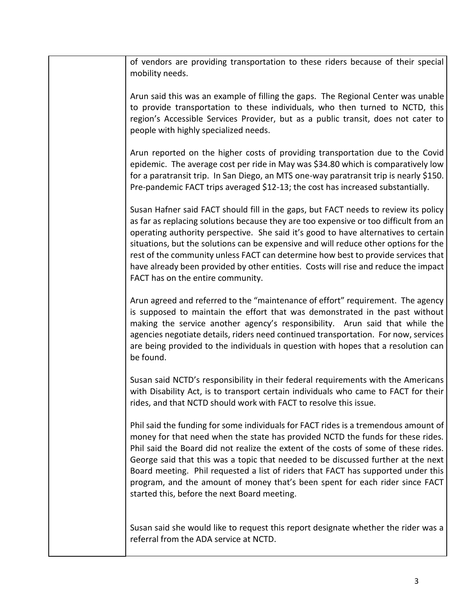of vendors are providing transportation to these riders because of their special mobility needs.

Arun said this was an example of filling the gaps. The Regional Center was unable to provide transportation to these individuals, who then turned to NCTD, this region's Accessible Services Provider, but as a public transit, does not cater to people with highly specialized needs.

Arun reported on the higher costs of providing transportation due to the Covid epidemic. The average cost per ride in May was \$34.80 which is comparatively low for a paratransit trip. In San Diego, an MTS one-way paratransit trip is nearly \$150. Pre-pandemic FACT trips averaged \$12-13; the cost has increased substantially.

Susan Hafner said FACT should fill in the gaps, but FACT needs to review its policy as far as replacing solutions because they are too expensive or too difficult from an operating authority perspective. She said it's good to have alternatives to certain situations, but the solutions can be expensive and will reduce other options for the rest of the community unless FACT can determine how best to provide services that have already been provided by other entities. Costs will rise and reduce the impact FACT has on the entire community.

Arun agreed and referred to the "maintenance of effort" requirement. The agency is supposed to maintain the effort that was demonstrated in the past without making the service another agency's responsibility. Arun said that while the agencies negotiate details, riders need continued transportation. For now, services are being provided to the individuals in question with hopes that a resolution can be found.

Susan said NCTD's responsibility in their federal requirements with the Americans with Disability Act, is to transport certain individuals who came to FACT for their rides, and that NCTD should work with FACT to resolve this issue.

Phil said the funding for some individuals for FACT rides is a tremendous amount of money for that need when the state has provided NCTD the funds for these rides. Phil said the Board did not realize the extent of the costs of some of these rides. George said that this was a topic that needed to be discussed further at the next Board meeting. Phil requested a list of riders that FACT has supported under this program, and the amount of money that's been spent for each rider since FACT started this, before the next Board meeting.

Susan said she would like to request this report designate whether the rider was a referral from the ADA service at NCTD.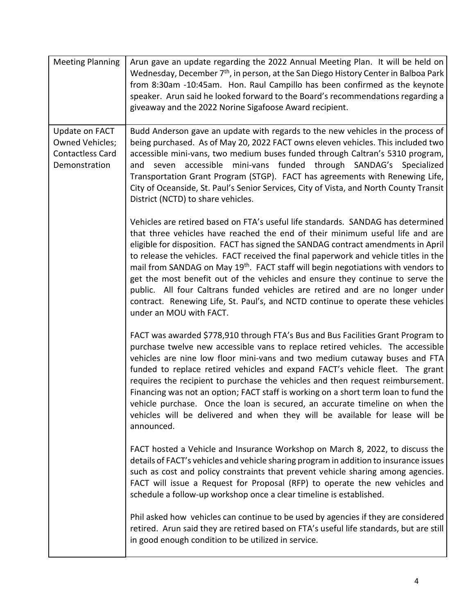| <b>Meeting Planning</b>                                                       | Arun gave an update regarding the 2022 Annual Meeting Plan. It will be held on<br>Wednesday, December 7 <sup>th</sup> , in person, at the San Diego History Center in Balboa Park<br>from 8:30am -10:45am. Hon. Raul Campillo has been confirmed as the keynote<br>speaker. Arun said he looked forward to the Board's recommendations regarding a<br>giveaway and the 2022 Norine Sigafoose Award recipient.                                                                                                                                                                                                                                                                                                                     |
|-------------------------------------------------------------------------------|-----------------------------------------------------------------------------------------------------------------------------------------------------------------------------------------------------------------------------------------------------------------------------------------------------------------------------------------------------------------------------------------------------------------------------------------------------------------------------------------------------------------------------------------------------------------------------------------------------------------------------------------------------------------------------------------------------------------------------------|
| Update on FACT<br>Owned Vehicles;<br><b>Contactless Card</b><br>Demonstration | Budd Anderson gave an update with regards to the new vehicles in the process of<br>being purchased. As of May 20, 2022 FACT owns eleven vehicles. This included two<br>accessible mini-vans, two medium buses funded through Caltran's 5310 program,<br>and seven accessible<br>mini-vans funded through SANDAG's Specialized<br>Transportation Grant Program (STGP). FACT has agreements with Renewing Life,<br>City of Oceanside, St. Paul's Senior Services, City of Vista, and North County Transit<br>District (NCTD) to share vehicles.                                                                                                                                                                                     |
|                                                                               | Vehicles are retired based on FTA's useful life standards. SANDAG has determined<br>that three vehicles have reached the end of their minimum useful life and are<br>eligible for disposition. FACT has signed the SANDAG contract amendments in April<br>to release the vehicles. FACT received the final paperwork and vehicle titles in the<br>mail from SANDAG on May 19 <sup>th</sup> . FACT staff will begin negotiations with vendors to<br>get the most benefit out of the vehicles and ensure they continue to serve the<br>public. All four Caltrans funded vehicles are retired and are no longer under<br>contract. Renewing Life, St. Paul's, and NCTD continue to operate these vehicles<br>under an MOU with FACT. |
|                                                                               | FACT was awarded \$778,910 through FTA's Bus and Bus Facilities Grant Program to<br>purchase twelve new accessible vans to replace retired vehicles. The accessible<br>vehicles are nine low floor mini-vans and two medium cutaway buses and FTA<br>funded to replace retired vehicles and expand FACT's vehicle fleet. The grant<br>requires the recipient to purchase the vehicles and then request reimbursement.<br>Financing was not an option; FACT staff is working on a short term loan to fund the<br>vehicle purchase. Once the loan is secured, an accurate timeline on when the<br>vehicles will be delivered and when they will be available for lease will be<br>announced.                                        |
|                                                                               | FACT hosted a Vehicle and Insurance Workshop on March 8, 2022, to discuss the<br>details of FACT's vehicles and vehicle sharing program in addition to insurance issues<br>such as cost and policy constraints that prevent vehicle sharing among agencies.<br>FACT will issue a Request for Proposal (RFP) to operate the new vehicles and<br>schedule a follow-up workshop once a clear timeline is established.                                                                                                                                                                                                                                                                                                                |
|                                                                               | Phil asked how vehicles can continue to be used by agencies if they are considered<br>retired. Arun said they are retired based on FTA's useful life standards, but are still<br>in good enough condition to be utilized in service.                                                                                                                                                                                                                                                                                                                                                                                                                                                                                              |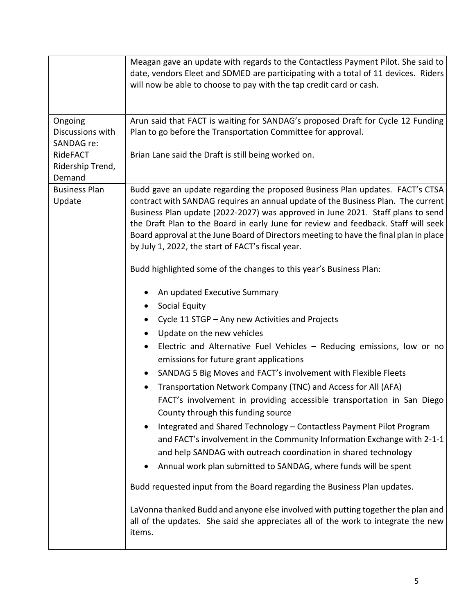| Arun said that FACT is waiting for SANDAG's proposed Draft for Cycle 12 Funding<br>Ongoing<br>Discussions with<br>Plan to go before the Transportation Committee for approval.                                                                                                                                                                                                                                                                                                                                                                                                                                                                                                                                                                                                                                                                                                                                                                                                                                                                                                                                                                                                                                                                                                                                                                                                                                                                                                                                                                                                                                                                                                                                      |  |
|---------------------------------------------------------------------------------------------------------------------------------------------------------------------------------------------------------------------------------------------------------------------------------------------------------------------------------------------------------------------------------------------------------------------------------------------------------------------------------------------------------------------------------------------------------------------------------------------------------------------------------------------------------------------------------------------------------------------------------------------------------------------------------------------------------------------------------------------------------------------------------------------------------------------------------------------------------------------------------------------------------------------------------------------------------------------------------------------------------------------------------------------------------------------------------------------------------------------------------------------------------------------------------------------------------------------------------------------------------------------------------------------------------------------------------------------------------------------------------------------------------------------------------------------------------------------------------------------------------------------------------------------------------------------------------------------------------------------|--|
| SANDAG re:<br>RideFACT<br>Brian Lane said the Draft is still being worked on.<br>Ridership Trend,<br>Demand                                                                                                                                                                                                                                                                                                                                                                                                                                                                                                                                                                                                                                                                                                                                                                                                                                                                                                                                                                                                                                                                                                                                                                                                                                                                                                                                                                                                                                                                                                                                                                                                         |  |
| Budd gave an update regarding the proposed Business Plan updates. FACT's CTSA<br><b>Business Plan</b><br>contract with SANDAG requires an annual update of the Business Plan. The current<br>Update<br>Business Plan update (2022-2027) was approved in June 2021. Staff plans to send<br>the Draft Plan to the Board in early June for review and feedback. Staff will seek<br>Board approval at the June Board of Directors meeting to have the final plan in place<br>by July 1, 2022, the start of FACT's fiscal year.<br>Budd highlighted some of the changes to this year's Business Plan:<br>An updated Executive Summary<br>Social Equity<br>$\bullet$<br>Cycle 11 STGP - Any new Activities and Projects<br>Update on the new vehicles<br>$\bullet$<br>Electric and Alternative Fuel Vehicles - Reducing emissions, low or no<br>٠<br>emissions for future grant applications<br>SANDAG 5 Big Moves and FACT's involvement with Flexible Fleets<br>$\bullet$<br>Transportation Network Company (TNC) and Access for All (AFA)<br>FACT's involvement in providing accessible transportation in San Diego<br>County through this funding source<br>Integrated and Shared Technology - Contactless Payment Pilot Program<br>and FACT's involvement in the Community Information Exchange with 2-1-1<br>and help SANDAG with outreach coordination in shared technology<br>Annual work plan submitted to SANDAG, where funds will be spent<br>٠<br>Budd requested input from the Board regarding the Business Plan updates.<br>LaVonna thanked Budd and anyone else involved with putting together the plan and<br>all of the updates. She said she appreciates all of the work to integrate the new<br>items. |  |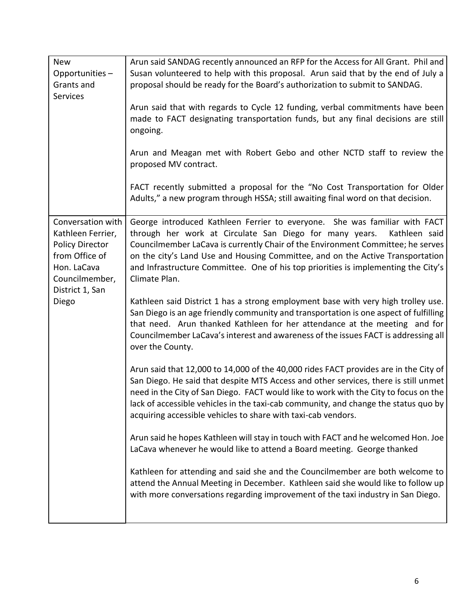| <b>New</b><br>Opportunities-<br>Grants and<br><b>Services</b>                                                                                   | Arun said SANDAG recently announced an RFP for the Access for All Grant. Phil and<br>Susan volunteered to help with this proposal. Arun said that by the end of July a<br>proposal should be ready for the Board's authorization to submit to SANDAG.<br>Arun said that with regards to Cycle 12 funding, verbal commitments have been<br>made to FACT designating transportation funds, but any final decisions are still<br>ongoing.<br>Arun and Meagan met with Robert Gebo and other NCTD staff to review the<br>proposed MV contract.<br>FACT recently submitted a proposal for the "No Cost Transportation for Older<br>Adults," a new program through HSSA; still awaiting final word on that decision.                                                                                                                                       |
|-------------------------------------------------------------------------------------------------------------------------------------------------|------------------------------------------------------------------------------------------------------------------------------------------------------------------------------------------------------------------------------------------------------------------------------------------------------------------------------------------------------------------------------------------------------------------------------------------------------------------------------------------------------------------------------------------------------------------------------------------------------------------------------------------------------------------------------------------------------------------------------------------------------------------------------------------------------------------------------------------------------|
| Conversation with<br>Kathleen Ferrier,<br><b>Policy Director</b><br>from Office of<br>Hon. LaCava<br>Councilmember,<br>District 1, San<br>Diego | George introduced Kathleen Ferrier to everyone. She was familiar with FACT<br>through her work at Circulate San Diego for many years.<br>Kathleen said<br>Councilmember LaCava is currently Chair of the Environment Committee; he serves<br>on the city's Land Use and Housing Committee, and on the Active Transportation<br>and Infrastructure Committee. One of his top priorities is implementing the City's<br>Climate Plan.<br>Kathleen said District 1 has a strong employment base with very high trolley use.<br>San Diego is an age friendly community and transportation is one aspect of fulfilling<br>that need. Arun thanked Kathleen for her attendance at the meeting and for<br>Councilmember LaCava's interest and awareness of the issues FACT is addressing all<br>over the County.                                             |
|                                                                                                                                                 | Arun said that 12,000 to 14,000 of the 40,000 rides FACT provides are in the City of<br>San Diego. He said that despite MTS Access and other services, there is still unmet<br>need in the City of San Diego. FACT would like to work with the City to focus on the<br>lack of accessible vehicles in the taxi-cab community, and change the status quo by<br>acquiring accessible vehicles to share with taxi-cab vendors.<br>Arun said he hopes Kathleen will stay in touch with FACT and he welcomed Hon. Joe<br>LaCava whenever he would like to attend a Board meeting. George thanked<br>Kathleen for attending and said she and the Councilmember are both welcome to<br>attend the Annual Meeting in December. Kathleen said she would like to follow up<br>with more conversations regarding improvement of the taxi industry in San Diego. |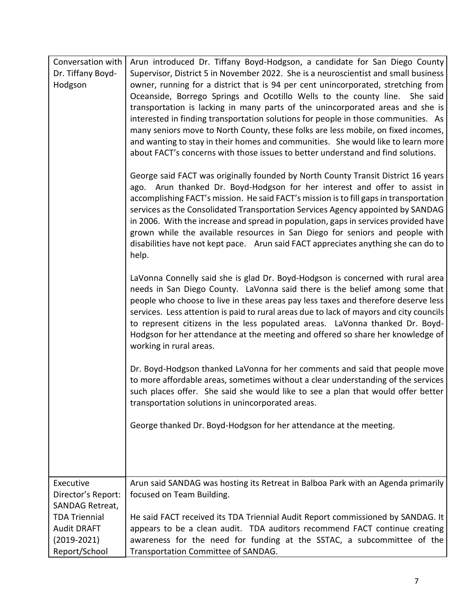| Supervisor, District 5 in November 2022. She is a neuroscientist and small business<br>Dr. Tiffany Boyd-<br>Hodgson<br>owner, running for a district that is 94 per cent unincorporated, stretching from<br>Oceanside, Borrego Springs and Ocotillo Wells to the county line. She said<br>transportation is lacking in many parts of the unincorporated areas and she is<br>interested in finding transportation solutions for people in those communities. As<br>many seniors move to North County, these folks are less mobile, on fixed incomes,<br>and wanting to stay in their homes and communities. She would like to learn more<br>about FACT's concerns with those issues to better understand and find solutions.<br>George said FACT was originally founded by North County Transit District 16 years<br>ago. Arun thanked Dr. Boyd-Hodgson for her interest and offer to assist in<br>accomplishing FACT's mission. He said FACT's mission is to fill gaps in transportation<br>services as the Consolidated Transportation Services Agency appointed by SANDAG<br>in 2006. With the increase and spread in population, gaps in services provided have<br>grown while the available resources in San Diego for seniors and people with<br>disabilities have not kept pace. Arun said FACT appreciates anything she can do to<br>help.<br>LaVonna Connelly said she is glad Dr. Boyd-Hodgson is concerned with rural area<br>needs in San Diego County. LaVonna said there is the belief among some that<br>people who choose to live in these areas pay less taxes and therefore deserve less<br>services. Less attention is paid to rural areas due to lack of mayors and city councils<br>to represent citizens in the less populated areas. LaVonna thanked Dr. Boyd-<br>Hodgson for her attendance at the meeting and offered so share her knowledge of<br>working in rural areas.<br>Dr. Boyd-Hodgson thanked LaVonna for her comments and said that people move<br>to more affordable areas, sometimes without a clear understanding of the services<br>such places offer. She said she would like to see a plan that would offer better |
|------------------------------------------------------------------------------------------------------------------------------------------------------------------------------------------------------------------------------------------------------------------------------------------------------------------------------------------------------------------------------------------------------------------------------------------------------------------------------------------------------------------------------------------------------------------------------------------------------------------------------------------------------------------------------------------------------------------------------------------------------------------------------------------------------------------------------------------------------------------------------------------------------------------------------------------------------------------------------------------------------------------------------------------------------------------------------------------------------------------------------------------------------------------------------------------------------------------------------------------------------------------------------------------------------------------------------------------------------------------------------------------------------------------------------------------------------------------------------------------------------------------------------------------------------------------------------------------------------------------------------------------------------------------------------------------------------------------------------------------------------------------------------------------------------------------------------------------------------------------------------------------------------------------------------------------------------------------------------------------------------------------------------------------------------------------------------------------------------------------------------------------------------------|
|                                                                                                                                                                                                                                                                                                                                                                                                                                                                                                                                                                                                                                                                                                                                                                                                                                                                                                                                                                                                                                                                                                                                                                                                                                                                                                                                                                                                                                                                                                                                                                                                                                                                                                                                                                                                                                                                                                                                                                                                                                                                                                                                                            |
|                                                                                                                                                                                                                                                                                                                                                                                                                                                                                                                                                                                                                                                                                                                                                                                                                                                                                                                                                                                                                                                                                                                                                                                                                                                                                                                                                                                                                                                                                                                                                                                                                                                                                                                                                                                                                                                                                                                                                                                                                                                                                                                                                            |
|                                                                                                                                                                                                                                                                                                                                                                                                                                                                                                                                                                                                                                                                                                                                                                                                                                                                                                                                                                                                                                                                                                                                                                                                                                                                                                                                                                                                                                                                                                                                                                                                                                                                                                                                                                                                                                                                                                                                                                                                                                                                                                                                                            |
|                                                                                                                                                                                                                                                                                                                                                                                                                                                                                                                                                                                                                                                                                                                                                                                                                                                                                                                                                                                                                                                                                                                                                                                                                                                                                                                                                                                                                                                                                                                                                                                                                                                                                                                                                                                                                                                                                                                                                                                                                                                                                                                                                            |
|                                                                                                                                                                                                                                                                                                                                                                                                                                                                                                                                                                                                                                                                                                                                                                                                                                                                                                                                                                                                                                                                                                                                                                                                                                                                                                                                                                                                                                                                                                                                                                                                                                                                                                                                                                                                                                                                                                                                                                                                                                                                                                                                                            |
|                                                                                                                                                                                                                                                                                                                                                                                                                                                                                                                                                                                                                                                                                                                                                                                                                                                                                                                                                                                                                                                                                                                                                                                                                                                                                                                                                                                                                                                                                                                                                                                                                                                                                                                                                                                                                                                                                                                                                                                                                                                                                                                                                            |
|                                                                                                                                                                                                                                                                                                                                                                                                                                                                                                                                                                                                                                                                                                                                                                                                                                                                                                                                                                                                                                                                                                                                                                                                                                                                                                                                                                                                                                                                                                                                                                                                                                                                                                                                                                                                                                                                                                                                                                                                                                                                                                                                                            |
|                                                                                                                                                                                                                                                                                                                                                                                                                                                                                                                                                                                                                                                                                                                                                                                                                                                                                                                                                                                                                                                                                                                                                                                                                                                                                                                                                                                                                                                                                                                                                                                                                                                                                                                                                                                                                                                                                                                                                                                                                                                                                                                                                            |
|                                                                                                                                                                                                                                                                                                                                                                                                                                                                                                                                                                                                                                                                                                                                                                                                                                                                                                                                                                                                                                                                                                                                                                                                                                                                                                                                                                                                                                                                                                                                                                                                                                                                                                                                                                                                                                                                                                                                                                                                                                                                                                                                                            |
| transportation solutions in unincorporated areas.<br>George thanked Dr. Boyd-Hodgson for her attendance at the meeting.                                                                                                                                                                                                                                                                                                                                                                                                                                                                                                                                                                                                                                                                                                                                                                                                                                                                                                                                                                                                                                                                                                                                                                                                                                                                                                                                                                                                                                                                                                                                                                                                                                                                                                                                                                                                                                                                                                                                                                                                                                    |
|                                                                                                                                                                                                                                                                                                                                                                                                                                                                                                                                                                                                                                                                                                                                                                                                                                                                                                                                                                                                                                                                                                                                                                                                                                                                                                                                                                                                                                                                                                                                                                                                                                                                                                                                                                                                                                                                                                                                                                                                                                                                                                                                                            |
| Executive<br>Arun said SANDAG was hosting its Retreat in Balboa Park with an Agenda primarily                                                                                                                                                                                                                                                                                                                                                                                                                                                                                                                                                                                                                                                                                                                                                                                                                                                                                                                                                                                                                                                                                                                                                                                                                                                                                                                                                                                                                                                                                                                                                                                                                                                                                                                                                                                                                                                                                                                                                                                                                                                              |
| Director's Report:<br>focused on Team Building.                                                                                                                                                                                                                                                                                                                                                                                                                                                                                                                                                                                                                                                                                                                                                                                                                                                                                                                                                                                                                                                                                                                                                                                                                                                                                                                                                                                                                                                                                                                                                                                                                                                                                                                                                                                                                                                                                                                                                                                                                                                                                                            |
| SANDAG Retreat,                                                                                                                                                                                                                                                                                                                                                                                                                                                                                                                                                                                                                                                                                                                                                                                                                                                                                                                                                                                                                                                                                                                                                                                                                                                                                                                                                                                                                                                                                                                                                                                                                                                                                                                                                                                                                                                                                                                                                                                                                                                                                                                                            |
| <b>TDA Triennial</b><br>He said FACT received its TDA Triennial Audit Report commissioned by SANDAG. It<br><b>Audit DRAFT</b>                                                                                                                                                                                                                                                                                                                                                                                                                                                                                                                                                                                                                                                                                                                                                                                                                                                                                                                                                                                                                                                                                                                                                                                                                                                                                                                                                                                                                                                                                                                                                                                                                                                                                                                                                                                                                                                                                                                                                                                                                              |
| appears to be a clean audit. TDA auditors recommend FACT continue creating<br>$(2019 - 2021)$<br>awareness for the need for funding at the SSTAC, a subcommittee of the                                                                                                                                                                                                                                                                                                                                                                                                                                                                                                                                                                                                                                                                                                                                                                                                                                                                                                                                                                                                                                                                                                                                                                                                                                                                                                                                                                                                                                                                                                                                                                                                                                                                                                                                                                                                                                                                                                                                                                                    |
| Report/School<br>Transportation Committee of SANDAG.                                                                                                                                                                                                                                                                                                                                                                                                                                                                                                                                                                                                                                                                                                                                                                                                                                                                                                                                                                                                                                                                                                                                                                                                                                                                                                                                                                                                                                                                                                                                                                                                                                                                                                                                                                                                                                                                                                                                                                                                                                                                                                       |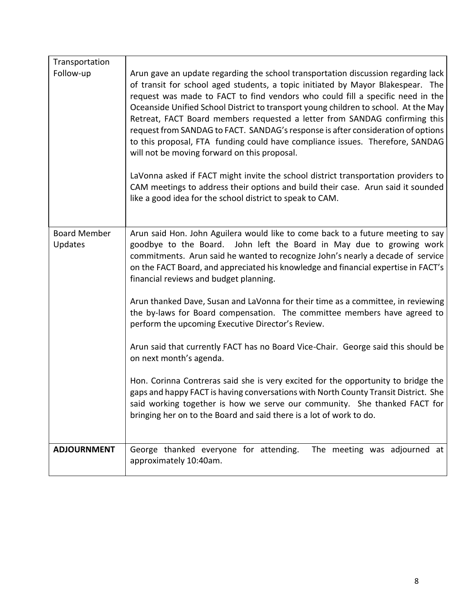| Transportation      |                                                                                                                                                                                                                                                                                                                                                                                                                                                                                                                                                                                                                                                                                                                                                                                                                                                                                         |
|---------------------|-----------------------------------------------------------------------------------------------------------------------------------------------------------------------------------------------------------------------------------------------------------------------------------------------------------------------------------------------------------------------------------------------------------------------------------------------------------------------------------------------------------------------------------------------------------------------------------------------------------------------------------------------------------------------------------------------------------------------------------------------------------------------------------------------------------------------------------------------------------------------------------------|
| Follow-up           | Arun gave an update regarding the school transportation discussion regarding lack<br>of transit for school aged students, a topic initiated by Mayor Blakespear. The<br>request was made to FACT to find vendors who could fill a specific need in the<br>Oceanside Unified School District to transport young children to school. At the May<br>Retreat, FACT Board members requested a letter from SANDAG confirming this<br>request from SANDAG to FACT. SANDAG's response is after consideration of options<br>to this proposal, FTA funding could have compliance issues. Therefore, SANDAG<br>will not be moving forward on this proposal.<br>LaVonna asked if FACT might invite the school district transportation providers to<br>CAM meetings to address their options and build their case. Arun said it sounded<br>like a good idea for the school district to speak to CAM. |
| <b>Board Member</b> | Arun said Hon. John Aguilera would like to come back to a future meeting to say                                                                                                                                                                                                                                                                                                                                                                                                                                                                                                                                                                                                                                                                                                                                                                                                         |
| Updates             | goodbye to the Board. John left the Board in May due to growing work<br>commitments. Arun said he wanted to recognize John's nearly a decade of service<br>on the FACT Board, and appreciated his knowledge and financial expertise in FACT's<br>financial reviews and budget planning.                                                                                                                                                                                                                                                                                                                                                                                                                                                                                                                                                                                                 |
|                     | Arun thanked Dave, Susan and LaVonna for their time as a committee, in reviewing<br>the by-laws for Board compensation. The committee members have agreed to<br>perform the upcoming Executive Director's Review.                                                                                                                                                                                                                                                                                                                                                                                                                                                                                                                                                                                                                                                                       |
|                     | Arun said that currently FACT has no Board Vice-Chair. George said this should be<br>on next month's agenda.                                                                                                                                                                                                                                                                                                                                                                                                                                                                                                                                                                                                                                                                                                                                                                            |
|                     | Hon. Corinna Contreras said she is very excited for the opportunity to bridge the<br>gaps and happy FACT is having conversations with North County Transit District. She<br>said working together is how we serve our community. She thanked FACT for<br>bringing her on to the Board and said there is a lot of work to do.                                                                                                                                                                                                                                                                                                                                                                                                                                                                                                                                                            |
| <b>ADJOURNMENT</b>  | George thanked everyone for attending. The meeting was adjourned at<br>approximately 10:40am.                                                                                                                                                                                                                                                                                                                                                                                                                                                                                                                                                                                                                                                                                                                                                                                           |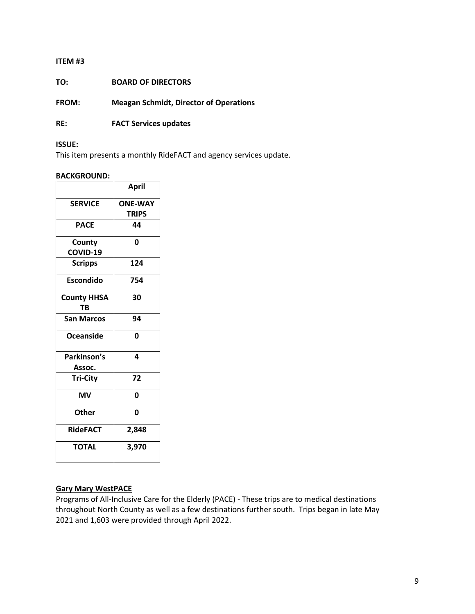#### **ITEM #3**

**TO: BOARD OF DIRECTORS**

**FROM: Meagan Schmidt, Director of Operations**

**RE: FACT Services updates** 

#### **ISSUE:**

This item presents a monthly RideFACT and agency services update.

#### **BACKGROUND:**

|                          | <b>April</b>   |
|--------------------------|----------------|
| <b>SERVICE</b>           | <b>ONE-WAY</b> |
|                          | <b>TRIPS</b>   |
| <b>PACE</b>              | 44             |
| County                   | 0              |
| COVID-19                 |                |
| <b>Scripps</b>           | 124            |
| <b>Escondido</b>         | 754            |
| <b>County HHSA</b><br>TB | 30             |
| <b>San Marcos</b>        | 94             |
| Oceanside                | 0              |
| Parkinson's              | 4              |
| Assoc.                   |                |
| <b>Tri-City</b>          | 72             |
| <b>MV</b>                | በ              |
| <b>Other</b>             | 0              |
| <b>RideFACT</b>          | 2,848          |
| <b>TOTAL</b>             | 3,970          |
|                          |                |

#### **Gary Mary WestPACE**

Programs of All-Inclusive Care for the Elderly (PACE) - These trips are to medical destinations throughout North County as well as a few destinations further south. Trips began in late May 2021 and 1,603 were provided through April 2022.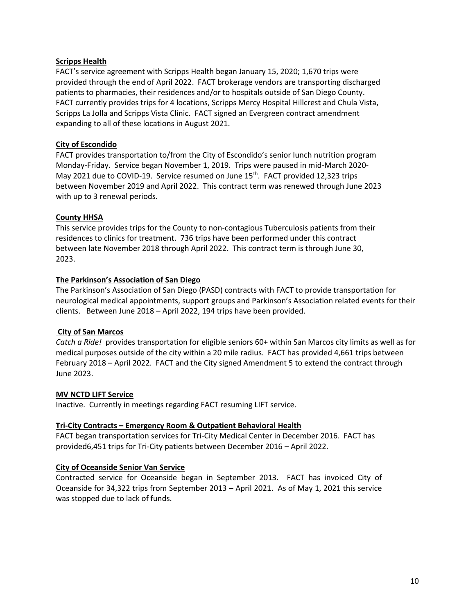#### **Scripps Health**

FACT's service agreement with Scripps Health began January 15, 2020; 1,670 trips were provided through the end of April 2022. FACT brokerage vendors are transporting discharged patients to pharmacies, their residences and/or to hospitals outside of San Diego County. FACT currently provides trips for 4 locations, Scripps Mercy Hospital Hillcrest and Chula Vista, Scripps La Jolla and Scripps Vista Clinic. FACT signed an Evergreen contract amendment expanding to all of these locations in August 2021.

#### **City of Escondido**

FACT provides transportation to/from the City of Escondido's senior lunch nutrition program Monday-Friday. Service began November 1, 2019. Trips were paused in mid-March 2020- May 2021 due to COVID-19. Service resumed on June  $15<sup>th</sup>$ . FACT provided 12,323 trips between November 2019 and April 2022. This contract term was renewed through June 2023 with up to 3 renewal periods.

#### **County HHSA**

This service provides trips for the County to non-contagious Tuberculosis patients from their residences to clinics for treatment. 736 trips have been performed under this contract between late November 2018 through April 2022. This contract term is through June 30, 2023.

#### **The Parkinson's Association of San Diego**

The Parkinson's Association of San Diego (PASD) contracts with FACT to provide transportation for neurological medical appointments, support groups and Parkinson's Association related events for their clients. Between June 2018 – April 2022, 194 trips have been provided.

#### **City of San Marcos**

*Catch a Ride!* provides transportation for eligible seniors 60+ within San Marcos city limits as well as for medical purposes outside of the city within a 20 mile radius. FACT has provided 4,661 trips between February 2018 – April 2022. FACT and the City signed Amendment 5 to extend the contract through June 2023.

#### **MV NCTD LIFT Service**

Inactive. Currently in meetings regarding FACT resuming LIFT service.

#### **Tri-City Contracts – Emergency Room & Outpatient Behavioral Health**

FACT began transportation services for Tri-City Medical Center in December 2016. FACT has provided6,451 trips for Tri-City patients between December 2016 – April 2022.

## **City of Oceanside Senior Van Service**

Contracted service for Oceanside began in September 2013. FACT has invoiced City of Oceanside for 34,322 trips from September 2013 – April 2021. As of May 1, 2021 this service was stopped due to lack of funds.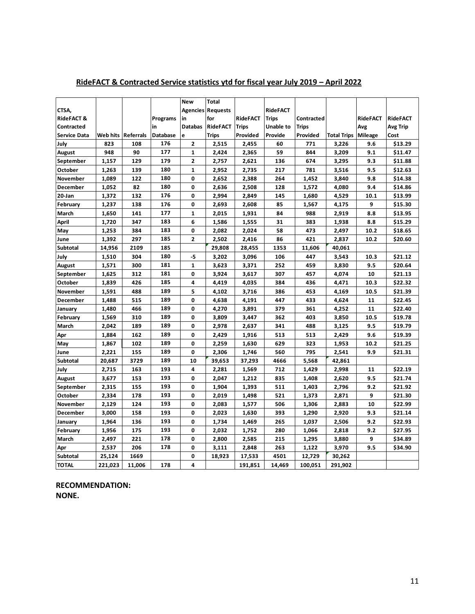|                       |          |                  |                 | <b>New</b>              | <b>Total</b>             |                 |                 |              |                    |                 |                 |
|-----------------------|----------|------------------|-----------------|-------------------------|--------------------------|-----------------|-----------------|--------------|--------------------|-----------------|-----------------|
| CTSA,                 |          |                  |                 |                         | <b>Agencies Requests</b> |                 | <b>RideFACT</b> |              |                    |                 |                 |
| <b>RideFACT &amp;</b> |          |                  | Programs        | in                      | for                      | <b>RideFACT</b> | <b>Trips</b>    | Contracted   |                    | <b>RideFACT</b> | <b>RideFACT</b> |
| Contracted            |          |                  | in              | <b>Databas</b>          | <b>RideFACT</b>          | <b>Trips</b>    | Unable to       | <b>Trips</b> |                    | Avg             | <b>Avg Trip</b> |
| <b>Service Data</b>   | Web hits | <b>Referrals</b> | <b>Database</b> | e                       | <b>Trips</b>             | Provided        | Provide         | Provided     | <b>Total Trips</b> | <b>Mileage</b>  | Cost            |
| July                  | 823      | 108              | 176             | $\mathbf{2}$            | 2,515                    | 2,455           | 60              | 771          | 3,226              | 9.6             | \$13.29         |
| <b>August</b>         | 948      | 90               | 177             | 1                       | 2,424                    | 2,365           | 59              | 844          | 3,209              | 9.1             | \$11.47         |
| September             | 1,157    | 129              | 179             | $\overline{2}$          | 2,757                    | 2,621           | 136             | 674          | 3,295              | 9.3             | \$11.88         |
| October               | 1,263    | 139              | 180             | $\mathbf{1}$            | 2,952                    | 2,735           | 217             | 781          | 3,516              | 9.5             | \$12.63         |
| November              | 1,089    | 122              | 180             | 0                       | 2,652                    | 2,388           | 264             | 1,452        | 3,840              | 9.8             | \$14.38         |
| December              | 1,052    | 82               | 180             | 0                       | 2,636                    | 2,508           | 128             | 1,572        | 4,080              | 9.4             | \$14.86         |
| 20-Jan                | 1,372    | 132              | 176             | 0                       | 2,994                    | 2,849           | 145             | 1,680        | 4,529              | 10.1            | \$13.99         |
| February              | 1,237    | 138              | 176             | 0                       | 2,693                    | 2,608           | 85              | 1,567        | 4,175              | 9               | \$15.30         |
| March                 | 1,650    | 141              | 177             | $\mathbf{1}$            | 2,015                    | 1,931           | 84              | 988          | 2,919              | 8.8             | \$13.95         |
| <b>April</b>          | 1,720    | 347              | 183             | 6                       | 1,586                    | 1,555           | 31              | 383          | 1,938              | 8.8             | \$15.29         |
| May                   | 1,253    | 384              | 183             | 0                       | 2,082                    | 2,024           | 58              | 473          | 2,497              | 10.2            | \$18.65         |
| June                  | 1,392    | 297              | 185             | $\overline{\mathbf{2}}$ | 2,502                    | 2,416           | 86              | 421          | 2,837              | 10.2            | \$20.60         |
| Subtotal              | 14,956   | 2109             | 185             |                         | 29,808                   | 28,455          | 1353            | 11,606       | 40,061             |                 |                 |
| July                  | 1,510    | 304              | 180             | -5                      | 3,202                    | 3,096           | 106             | 447          | 3,543              | 10.3            | \$21.12         |
| <b>August</b>         | 1,571    | 300              | 181             | $\mathbf 1$             | 3,623                    | 3,371           | 252             | 459          | 3,830              | 9.5             | \$20.64         |
| September             | 1,625    | 312              | 181             | 0                       | 3,924                    | 3,617           | 307             | 457          | 4,074              | 10              | \$21.13         |
| October               | 1,839    | 426              | 185             | 4                       | 4,419                    | 4,035           | 384             | 436          | 4,471              | 10.3            | \$22.32         |
| November              | 1,591    | 488              | 189             | 5                       | 4,102                    | 3,716           | 386             | 453          | 4,169              | 10.5            | \$21.39         |
| December              | 1,488    | 515              | 189             | 0                       | 4,638                    | 4,191           | 447             | 433          | 4,624              | 11              | \$22.45         |
| January               | 1,480    | 466              | 189             | 0                       | 4,270                    | 3,891           | 379             | 361          | 4,252              | 11              | \$22.40         |
| February              | 1,569    | 310              | 189             | 0                       | 3,809                    | 3,447           | 362             | 403          | 3,850              | 10.5            | \$19.78         |
| March                 | 2,042    | 189              | 189             | 0                       | 2,978                    | 2,637           | 341             | 488          | 3,125              | 9.5             | \$19.79         |
| Apr                   | 1,884    | 162              | 189             | $\mathbf{0}$            | 2,429                    | 1,916           | 513             | 513          | 2,429              | 9.6             | \$19.39         |
| May                   | 1,867    | 102              | 189             | 0                       | 2,259                    | 1,630           | 629             | 323          | 1,953              | 10.2            | \$21.25         |
| June                  | 2,221    | 155              | 189             | 0                       | 2,306                    | 1,746           | 560             | 795          | 2,541              | 9.9             | \$21.31         |
| <b>Subtotal</b>       | 20,687   | 3729             | 189             | 10                      | 39,653                   | 37,293          | 4666            | 5,568        | 42,861             |                 |                 |
| July                  | 2,715    | 163              | 193             | 4                       | 2,281                    | 1,569           | 712             | 1,429        | 2,998              | 11              | \$22.19         |
| August                | 3,677    | 153              | 193             | 0                       | 2,047                    | 1,212           | 835             | 1,408        | 2,620              | 9.5             | \$21.74         |
| September             | 2,315    | 155              | 193             | 0                       | 1,904                    | 1,393           | 511             | 1,403        | 2,796              | 9.2             | \$21.92         |
| October               | 2,334    | 178              | 193             | $\mathbf{0}$            | 2,019                    | 1,498           | 521             | 1,373        | 2,871              | 9               | \$21.30         |
| <b>November</b>       | 2,129    | 124              | 193             | $\mathbf{0}$            | 2,083                    | 1,577           | 506             | 1,306        | 2,883              | 10              | \$22.99         |
| December              | 3,000    | 158              | 193             | 0                       | 2,023                    | 1,630           | 393             | 1,290        | 2,920              | 9.3             | \$21.14         |
| January               | 1,964    | 136              | 193             | 0                       | 1,734                    | 1,469           | 265             | 1,037        | 2,506              | 9.2             | \$22.93         |
| February              | 1,956    | 175              | 193             | 0                       | 2,032                    | 1,752           | 280             | 1,066        | 2,818              | 9.2             | \$27.95         |
| March                 | 2,497    | 221              | 178             | 0                       | 2,800                    | 2,585           | 215             | 1,295        | 3,880              | 9               | \$34.89         |
| Apr                   | 2,537    | 206              | 178             | 0                       | 3,111                    | 2,848           | 263             | 1,122        | 3,970              | 9.5             | \$34.90         |
| Subtotal              | 25,124   | 1669             |                 | 0                       | 18,923                   | 17,533          | 4501            | 12,729       | 30,262             |                 |                 |
| <b>TOTAL</b>          | 221,023  | 11,006           | 178             | 4                       |                          | 191,851         | 14,469          | 100,051      | 291,902            |                 |                 |

# **RideFACT & Contracted Service statistics ytd for fiscal year July 2019 – April 2022**

**RECOMMENDATION: NONE.**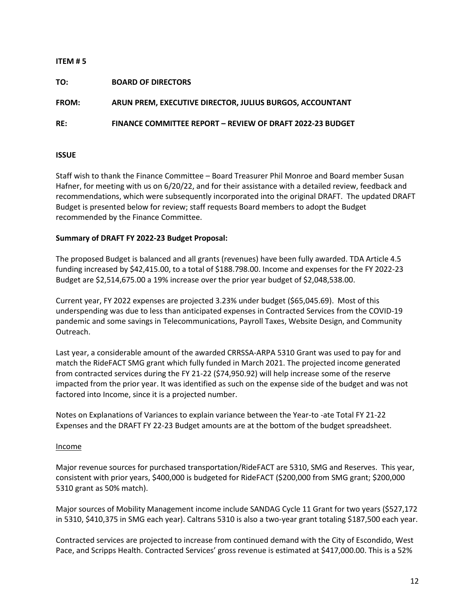#### **ITEM # 5**

| <b>BOARD OF DIRECTORS</b>                                        |
|------------------------------------------------------------------|
| ARUN PREM, EXECUTIVE DIRECTOR, JULIUS BURGOS, ACCOUNTANT         |
| <b>FINANCE COMMITTEE REPORT - REVIEW OF DRAFT 2022-23 BUDGET</b> |
|                                                                  |

#### **ISSUE**

Staff wish to thank the Finance Committee – Board Treasurer Phil Monroe and Board member Susan Hafner, for meeting with us on 6/20/22, and for their assistance with a detailed review, feedback and recommendations, which were subsequently incorporated into the original DRAFT. The updated DRAFT Budget is presented below for review; staff requests Board members to adopt the Budget recommended by the Finance Committee.

#### **Summary of DRAFT FY 2022-23 Budget Proposal:**

The proposed Budget is balanced and all grants (revenues) have been fully awarded. TDA Article 4.5 funding increased by \$42,415.00, to a total of \$188.798.00. Income and expenses for the FY 2022-23 Budget are \$2,514,675.00 a 19% increase over the prior year budget of \$2,048,538.00.

Current year, FY 2022 expenses are projected 3.23% under budget (\$65,045.69). Most of this underspending was due to less than anticipated expenses in Contracted Services from the COVID-19 pandemic and some savings in Telecommunications, Payroll Taxes, Website Design, and Community Outreach.

Last year, a considerable amount of the awarded CRRSSA-ARPA 5310 Grant was used to pay for and match the RideFACT SMG grant which fully funded in March 2021. The projected income generated from contracted services during the FY 21-22 (\$74,950.92) will help increase some of the reserve impacted from the prior year. It was identified as such on the expense side of the budget and was not factored into Income, since it is a projected number.

Notes on Explanations of Variances to explain variance between the Year-to -ate Total FY 21-22 Expenses and the DRAFT FY 22-23 Budget amounts are at the bottom of the budget spreadsheet.

#### Income

Major revenue sources for purchased transportation/RideFACT are 5310, SMG and Reserves. This year, consistent with prior years, \$400,000 is budgeted for RideFACT (\$200,000 from SMG grant; \$200,000 5310 grant as 50% match).

Major sources of Mobility Management income include SANDAG Cycle 11 Grant for two years (\$527,172 in 5310, \$410,375 in SMG each year). Caltrans 5310 is also a two-year grant totaling \$187,500 each year.

Contracted services are projected to increase from continued demand with the City of Escondido, West Pace, and Scripps Health. Contracted Services' gross revenue is estimated at \$417,000.00. This is a 52%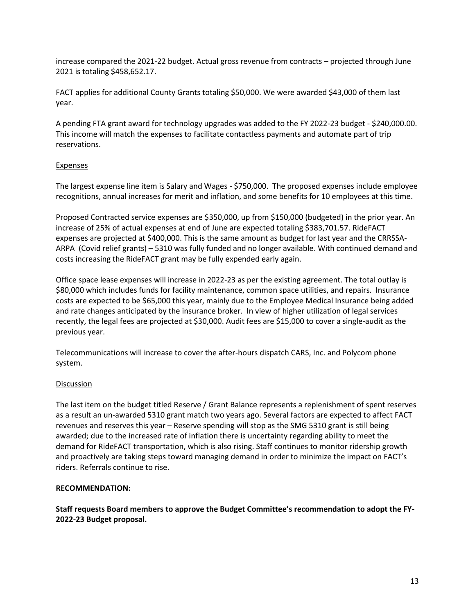increase compared the 2021-22 budget. Actual gross revenue from contracts – projected through June 2021 is totaling \$458,652.17.

FACT applies for additional County Grants totaling \$50,000. We were awarded \$43,000 of them last year.

A pending FTA grant award for technology upgrades was added to the FY 2022-23 budget - \$240,000.00. This income will match the expenses to facilitate contactless payments and automate part of trip reservations.

#### **Expenses**

The largest expense line item is Salary and Wages - \$750,000. The proposed expenses include employee recognitions, annual increases for merit and inflation, and some benefits for 10 employees at this time.

Proposed Contracted service expenses are \$350,000, up from \$150,000 (budgeted) in the prior year. An increase of 25% of actual expenses at end of June are expected totaling \$383,701.57. RideFACT expenses are projected at \$400,000. This is the same amount as budget for last year and the CRRSSA-ARPA (Covid relief grants) – 5310 was fully funded and no longer available. With continued demand and costs increasing the RideFACT grant may be fully expended early again.

Office space lease expenses will increase in 2022-23 as per the existing agreement. The total outlay is \$80,000 which includes funds for facility maintenance, common space utilities, and repairs. Insurance costs are expected to be \$65,000 this year, mainly due to the Employee Medical Insurance being added and rate changes anticipated by the insurance broker. In view of higher utilization of legal services recently, the legal fees are projected at \$30,000. Audit fees are \$15,000 to cover a single-audit as the previous year.

Telecommunications will increase to cover the after-hours dispatch CARS, Inc. and Polycom phone system.

## **Discussion**

The last item on the budget titled Reserve / Grant Balance represents a replenishment of spent reserves as a result an un-awarded 5310 grant match two years ago. Several factors are expected to affect FACT revenues and reserves this year – Reserve spending will stop as the SMG 5310 grant is still being awarded; due to the increased rate of inflation there is uncertainty regarding ability to meet the demand for RideFACT transportation, which is also rising. Staff continues to monitor ridership growth and proactively are taking steps toward managing demand in order to minimize the impact on FACT's riders. Referrals continue to rise.

#### **RECOMMENDATION:**

**Staff requests Board members to approve the Budget Committee's recommendation to adopt the FY-2022-23 Budget proposal.**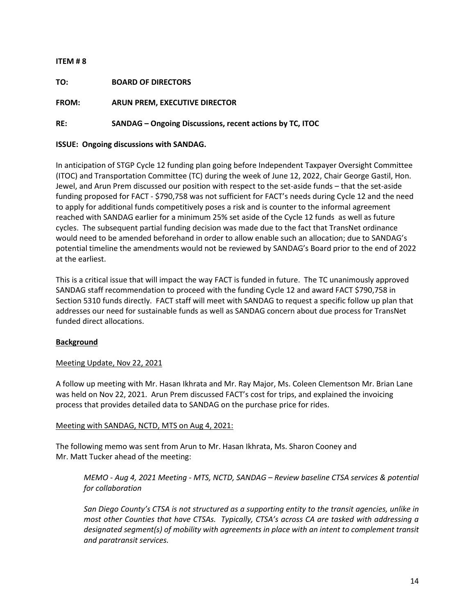# **ITEM # 8 TO: BOARD OF DIRECTORS FROM: ARUN PREM, EXECUTIVE DIRECTOR**

# **RE: SANDAG – Ongoing Discussions, recent actions by TC, ITOC**

## **ISSUE: Ongoing discussions with SANDAG.**

In anticipation of STGP Cycle 12 funding plan going before Independent Taxpayer Oversight Committee (ITOC) and Transportation Committee (TC) during the week of June 12, 2022, Chair George Gastil, Hon. Jewel, and Arun Prem discussed our position with respect to the set-aside funds – that the set-aside funding proposed for FACT - \$790,758 was not sufficient for FACT's needs during Cycle 12 and the need to apply for additional funds competitively poses a risk and is counter to the informal agreement reached with SANDAG earlier for a minimum 25% set aside of the Cycle 12 funds as well as future cycles. The subsequent partial funding decision was made due to the fact that TransNet ordinance would need to be amended beforehand in order to allow enable such an allocation; due to SANDAG's potential timeline the amendments would not be reviewed by SANDAG's Board prior to the end of 2022 at the earliest.

This is a critical issue that will impact the way FACT is funded in future. The TC unanimously approved SANDAG staff recommendation to proceed with the funding Cycle 12 and award FACT \$790,758 in Section 5310 funds directly. FACT staff will meet with SANDAG to request a specific follow up plan that addresses our need for sustainable funds as well as SANDAG concern about due process for TransNet funded direct allocations.

## **Background**

## Meeting Update, Nov 22, 2021

A follow up meeting with Mr. Hasan Ikhrata and Mr. Ray Major, Ms. Coleen Clementson Mr. Brian Lane was held on Nov 22, 2021. Arun Prem discussed FACT's cost for trips, and explained the invoicing process that provides detailed data to SANDAG on the purchase price for rides.

## Meeting with SANDAG, NCTD, MTS on Aug 4, 2021:

The following memo was sent from Arun to Mr. Hasan Ikhrata, Ms. Sharon Cooney and Mr. Matt Tucker ahead of the meeting:

*MEMO - Aug 4, 2021 Meeting - MTS, NCTD, SANDAG – Review baseline CTSA services & potential for collaboration* 

*San Diego County's CTSA is not structured as a supporting entity to the transit agencies, unlike in most other Counties that have CTSAs. Typically, CTSA's across CA are tasked with addressing a designated segment(s) of mobility with agreements in place with an intent to complement transit and paratransit services.*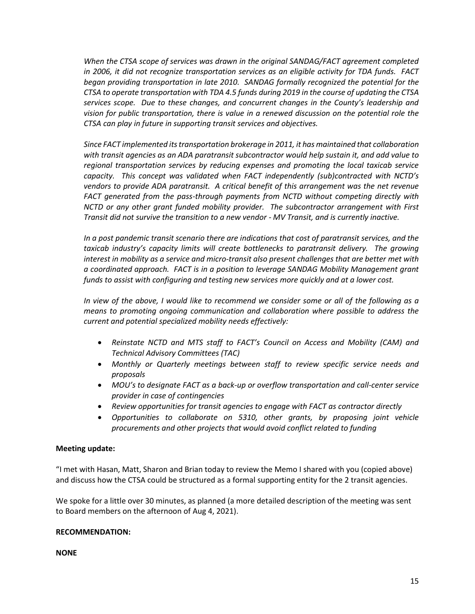*When the CTSA scope of services was drawn in the original SANDAG/FACT agreement completed in 2006, it did not recognize transportation services as an eligible activity for TDA funds. FACT began providing transportation in late 2010. SANDAG formally recognized the potential for the CTSA to operate transportation with TDA 4.5 funds during 2019 in the course of updating the CTSA services scope. Due to these changes, and concurrent changes in the County's leadership and vision for public transportation, there is value in a renewed discussion on the potential role the CTSA can play in future in supporting transit services and objectives.* 

*Since FACT implemented its transportation brokerage in 2011, it has maintained that collaboration with transit agencies as an ADA paratransit subcontractor would help sustain it, and add value to regional transportation services by reducing expenses and promoting the local taxicab service capacity. This concept was validated when FACT independently (sub)contracted with NCTD's vendors to provide ADA paratransit. A critical benefit of this arrangement was the net revenue FACT generated from the pass-through payments from NCTD without competing directly with NCTD or any other grant funded mobility provider. The subcontractor arrangement with First Transit did not survive the transition to a new vendor - MV Transit, and is currently inactive.*

*In a post pandemic transit scenario there are indications that cost of paratransit services, and the taxicab industry's capacity limits will create bottlenecks to paratransit delivery. The growing interest in mobility as a service and micro-transit also present challenges that are better met with a coordinated approach. FACT is in a position to leverage SANDAG Mobility Management grant funds to assist with configuring and testing new services more quickly and at a lower cost.*

*In view of the above, I would like to recommend we consider some or all of the following as a means to promoting ongoing communication and collaboration where possible to address the current and potential specialized mobility needs effectively:*

- *Reinstate NCTD and MTS staff to FACT's Council on Access and Mobility (CAM) and Technical Advisory Committees (TAC)*
- *Monthly or Quarterly meetings between staff to review specific service needs and proposals*
- *MOU's to designate FACT as a back-up or overflow transportation and call-center service provider in case of contingencies*
- *Review opportunities for transit agencies to engage with FACT as contractor directly*
- *Opportunities to collaborate on 5310, other grants, by proposing joint vehicle procurements and other projects that would avoid conflict related to funding*

#### **Meeting update:**

"I met with Hasan, Matt, Sharon and Brian today to review the Memo I shared with you (copied above) and discuss how the CTSA could be structured as a formal supporting entity for the 2 transit agencies.

We spoke for a little over 30 minutes, as planned (a more detailed description of the meeting was sent to Board members on the afternoon of Aug 4, 2021).

#### **RECOMMENDATION:**

**NONE**